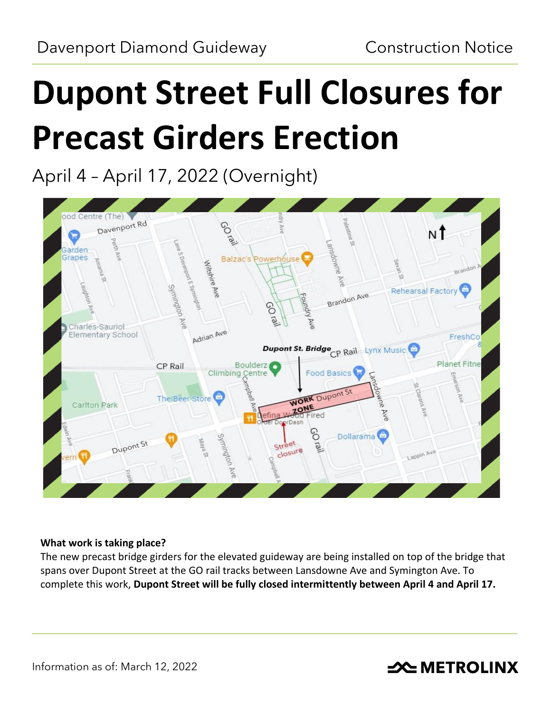# **Dupont Street Full Closures for Precast Girders Erection**

April 4 – April 17, 2022 (Overnight)



### **What work is taking place?**

The new precast bridge girders for the elevated guideway are being installed on top of the bridge that spans over Dupont Street at the GO rail tracks between Lansdowne Ave and Symington Ave. To complete this work, **Dupont Street will be fully closed intermittently between April 4 and April 17.**

## **SOUTHER THE METROLINX**